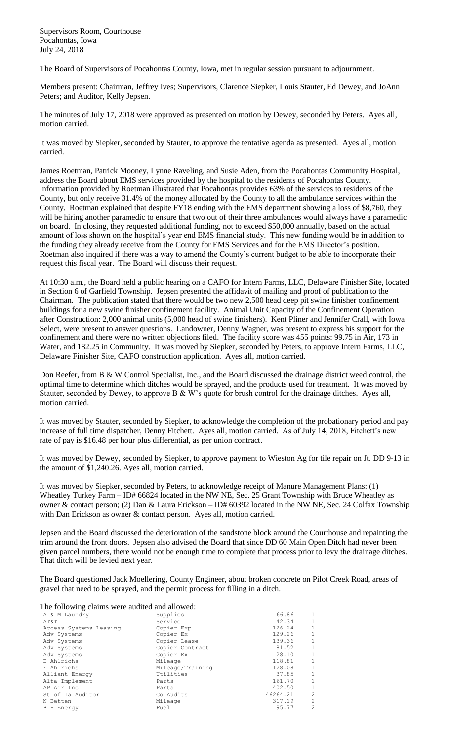Supervisors Room, Courthouse Pocahontas, Iowa July 24, 2018

The Board of Supervisors of Pocahontas County, Iowa, met in regular session pursuant to adjournment.

Members present: Chairman, Jeffrey Ives; Supervisors, Clarence Siepker, Louis Stauter, Ed Dewey, and JoAnn Peters; and Auditor, Kelly Jepsen.

The minutes of July 17, 2018 were approved as presented on motion by Dewey, seconded by Peters. Ayes all, motion carried.

It was moved by Siepker, seconded by Stauter, to approve the tentative agenda as presented. Ayes all, motion carried.

James Roetman, Patrick Mooney, Lynne Raveling, and Susie Aden, from the Pocahontas Community Hospital, address the Board about EMS services provided by the hospital to the residents of Pocahontas County. Information provided by Roetman illustrated that Pocahontas provides 63% of the services to residents of the County, but only receive 31.4% of the money allocated by the County to all the ambulance services within the County. Roetman explained that despite FY18 ending with the EMS department showing a loss of \$8,760, they will be hiring another paramedic to ensure that two out of their three ambulances would always have a paramedic on board. In closing, they requested additional funding, not to exceed \$50,000 annually, based on the actual amount of loss shown on the hospital's year end EMS financial study. This new funding would be in addition to the funding they already receive from the County for EMS Services and for the EMS Director's position. Roetman also inquired if there was a way to amend the County's current budget to be able to incorporate their request this fiscal year. The Board will discuss their request.

At 10:30 a.m., the Board held a public hearing on a CAFO for Intern Farms, LLC, Delaware Finisher Site, located in Section 6 of Garfield Township. Jepsen presented the affidavit of mailing and proof of publication to the Chairman. The publication stated that there would be two new 2,500 head deep pit swine finisher confinement buildings for a new swine finisher confinement facility. Animal Unit Capacity of the Confinement Operation after Construction: 2,000 animal units (5,000 head of swine finishers). Kent Pliner and Jennifer Crall, with Iowa Select, were present to answer questions. Landowner, Denny Wagner, was present to express his support for the confinement and there were no written objections filed. The facility score was 455 points: 99.75 in Air, 173 in Water, and 182.25 in Community. It was moved by Siepker, seconded by Peters, to approve Intern Farms, LLC, Delaware Finisher Site, CAFO construction application. Ayes all, motion carried.

Don Reefer, from B & W Control Specialist, Inc., and the Board discussed the drainage district weed control, the optimal time to determine which ditches would be sprayed, and the products used for treatment. It was moved by Stauter, seconded by Dewey, to approve B & W's quote for brush control for the drainage ditches. Ayes all, motion carried.

It was moved by Stauter, seconded by Siepker, to acknowledge the completion of the probationary period and pay increase of full time dispatcher, Denny Fitchett. Ayes all, motion carried. As of July 14, 2018, Fitchett's new rate of pay is \$16.48 per hour plus differential, as per union contract.

It was moved by Dewey, seconded by Siepker, to approve payment to Wieston Ag for tile repair on Jt. DD 9-13 in the amount of \$1,240.26. Ayes all, motion carried.

It was moved by Siepker, seconded by Peters, to acknowledge receipt of Manure Management Plans: (1) Wheatley Turkey Farm – ID# 66824 located in the NW NE, Sec. 25 Grant Township with Bruce Wheatley as owner & contact person; (2) Dan & Laura Erickson – ID# 60392 located in the NW NE, Sec. 24 Colfax Township with Dan Erickson as owner & contact person. Ayes all, motion carried.

Jepsen and the Board discussed the deterioration of the sandstone block around the Courthouse and repainting the trim around the front doors. Jepsen also advised the Board that since DD 60 Main Open Ditch had never been given parcel numbers, there would not be enough time to complete that process prior to levy the drainage ditches. That ditch will be levied next year.

The Board questioned Jack Moellering, County Engineer, about broken concrete on Pilot Creek Road, areas of gravel that need to be sprayed, and the permit process for filling in a ditch.

The following claims were audited and allowed:

| A & M Laundry          | Supplies         | 66.86    | 1              |
|------------------------|------------------|----------|----------------|
| AT&T                   | Service          | 42.34    | $\mathbf{1}$   |
| Access Systems Leasing | Copier Exp       | 126.24   | 1              |
| Adv Systems            | Copier Ex        | 129.26   | 1              |
| Adv Systems            | Copier Lease     | 139.36   | $\mathbf{1}$   |
| Adv Systems            | Copier Contract  | 81.52    | 1              |
| Adv Systems            | Copier Ex        | 28.10    | 1              |
| E Ahlrichs             | Mileage          | 118.81   | $\mathbf{1}$   |
| E Ahlrichs             | Mileage/Training | 128.08   | 1              |
| Alliant Energy         | Utilities        | 37.85    | $\mathbf{1}$   |
| Alta Implement         | Parts            | 161.70   | 1              |
| AP Air Inc             | Parts            | 402.50   | $\mathbf{1}$   |
| St of Ia Auditor       | Co Audits        | 46264.21 | $\overline{c}$ |
| N Betten               | Mileage          | 317.19   | $\overline{c}$ |
| <b>B</b> H Energy      | Fuel             | 95.77    | $\overline{c}$ |
|                        |                  |          |                |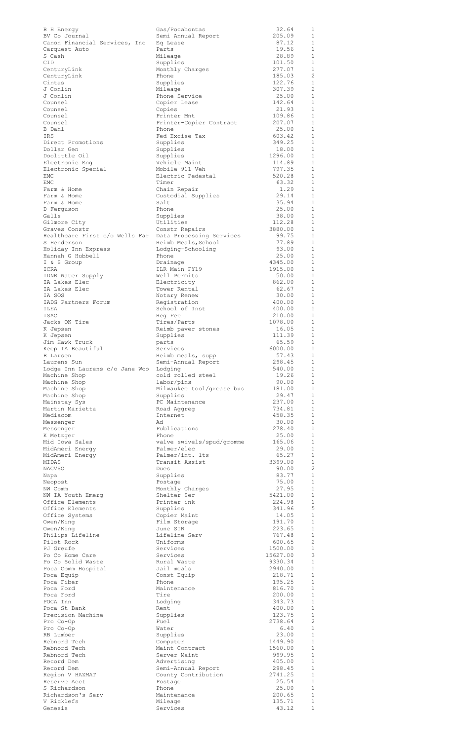| B H Energy                                     | Gas/Pocahontas                                  | 32.64               | 1                              |
|------------------------------------------------|-------------------------------------------------|---------------------|--------------------------------|
| BV Co Journal<br>Canon Financial Services, Inc | Semi Annual Report<br>Eq Lease                  | 205.09<br>87.12     | 1<br>1                         |
| Carquest Auto                                  | Parts                                           | 19.56               | 1                              |
| S Cash                                         | Mileage                                         | 28.89               | $\mathbf{1}$<br>1              |
| <b>CID</b><br>CenturyLink                      | Supplies<br>Monthly Charges                     | 101.50<br>277.07    | 1                              |
| CenturyLink                                    | Phone                                           | 185.03              | 2                              |
| Cintas<br>J Conlin                             | Supplies<br>Mileage                             | 122.76<br>307.39    | 1<br>$\overline{2}$            |
| J Conlin                                       | Phone Service                                   | 25.00               | $\mathbf{1}$                   |
| Counsel                                        | Copier Lease                                    | 142.64              | 1                              |
| Counsel<br>Counsel                             | Copies<br>Printer Mnt                           | 21.93<br>109.86     | $\mathbf{1}$<br>1              |
| Counsel                                        | Printer-Copier Contract                         | 207.07              | $\mathbf{1}$                   |
| B Dahl                                         | Phone                                           | 25.00               | 1                              |
| IRS<br>Direct Promotions                       | Fed Excise Tax<br>Supplies                      | 603.42<br>349.25    | $\mathbf{1}$<br>$\mathbf{1}$   |
| Dollar Gen                                     | Supplies                                        | 18.00               | $\mathbf{1}$                   |
| Doolittle Oil                                  | Supplies                                        | 1296.00             | 1                              |
| Electronic Enq<br>Electronic Special           | Vehicle Maint<br>Mobile 911 Veh                 | 114.89<br>797.35    | $\mathbf{1}$<br>$\mathbf{1}$   |
| EMC                                            | Electric Pedestal                               | 520.28              | $\mathbf{1}$                   |
| EMC                                            | Timer                                           | 63.32<br>1.29       | 1<br>$\mathbf{1}$              |
| Farm & Home<br>Farm & Home                     | Chain Repair<br>Custodial Supplies              | 29.14               | 1                              |
| Farm & Home                                    | Salt                                            | 35.94               | $\mathbf{1}$                   |
| D Ferquson<br>Galls                            | Phone<br>Supplies                               | 25.00<br>38.00      | 1<br>$\mathbf{1}$              |
| Gilmore City                                   | Utilities                                       | 112.28              | 1                              |
| Graves Constr                                  | Constr Repairs                                  | 3880.00             | 1                              |
| Healthcare First c/o Wells Far<br>S Henderson  | Data Processing Services<br>Reimb Meals, School | 99.75<br>77.89      | 1<br>1                         |
| Holiday Inn Express                            | Lodging-Schooling                               | 93.00               | 1                              |
| Hannah G Hubbell                               | Phone                                           | 25.00               | $\mathbf{1}$                   |
| I & S Group<br>ICRA                            | Drainage<br>ILR Main FY19                       | 4345.00<br>1915.00  | 1<br>1                         |
| IDNR Water Supply                              | Well Permits                                    | 50.00               | 1                              |
| IA Lakes Elec                                  | Electricity                                     | 862.00              | $\mathbf{1}$<br>1              |
| IA Lakes Elec<br>IA SOS                        | Tower Rental<br>Notary Renew                    | 62.67<br>30.00      | 1                              |
| IADG Partners Forum                            | Registration                                    | 400.00              | $\mathbf{1}$                   |
| ILEA<br>ISAC                                   | School of Inst<br>Reg Fee                       | 400.00<br>210.00    | 1<br>$1\,$                     |
| Jacks OK Tire                                  | Tires/Parts                                     | 1078.00             | 1                              |
| K Jepsen                                       | Reimb paver stones                              | 16.05               | $\mathbf{1}$                   |
| K Jepsen<br>Jim Hawk Truck                     | Supplies<br>parts                               | 111.39<br>65.59     | 1<br>1                         |
| Keep IA Beautiful                              | Services                                        | 6000.00             | 1                              |
| B Larsen                                       | Reimb meals, supp                               | 57.43               | $\overline{1}$                 |
| Laurens Sun<br>Lodge Inn Laurens c/o Jane Woo  | Semi-Annual Report<br>Lodging                   | 298.45<br>540.00    | 1<br>$\overline{1}$            |
| Machine Shop                                   | cold rolled steel                               | 19.26               | -1                             |
| Machine Shop                                   | labor/pins                                      | 90.00               | <sup>1</sup>                   |
| Machine Shop<br>Machine Shop                   | Milwaukee tool/grease bus<br>Supplies           | 181.00<br>29.47     | 1<br>-1                        |
| Mainstay Sys                                   | PC Maintenance                                  | 237.00              | 1                              |
| Martin Marietta<br>Mediacom                    | Road Aggreg<br>Internet                         | 734.81<br>458.35    | 1<br>$\mathbf{1}$              |
| Messenger                                      | Ad                                              | 30.00               | $\mathbf{1}$                   |
| Messenger                                      | Publications                                    | 278.40              | $\mathbf{1}$                   |
| K Metzger<br>Mid Iowa Sales                    | Phone<br>valve swivels/spud/gromme              | 25.00<br>165.06     | $\mathbf{1}$<br>1              |
| MidAmeri Energy                                | Palmer/elec                                     | 29.00               | $\mathbf{1}$                   |
| MidAmeri Energy                                | Palmer/int. lts                                 | 65.27               | 1                              |
| MIDAS<br><b>NACVSO</b>                         | Transit Assist<br>Dues                          | 3399.00<br>90.00    | $\mathbf{1}$<br>$\overline{c}$ |
| Napa                                           | Supplies                                        | 83.77               | $\mathbf{1}$                   |
| Neopost<br>NW Comm                             | Postage<br>Monthly Charges                      | 75.00<br>27.95      | 1<br>$\mathbf{1}$              |
| NW IA Youth Emerg                              | Shelter Ser                                     | 5421.00             | 1                              |
| Office Elements                                | Printer ink                                     | 224.98              | 1                              |
| Office Elements<br>Office Systems              | Supplies<br>Copier Maint                        | 341.96<br>14.05     | 5<br>1                         |
| Owen/King                                      | Film Storage                                    | 191.70              | 1                              |
| Owen/King                                      | June SIR                                        | 223.65              | $\mathbf{1}$                   |
| Philips Lifeline<br>Pilot Rock                 | Lifeline Serv<br>Uniforms                       | 767.48<br>600.65    | 1<br>$\overline{c}$            |
| PJ Greufe                                      | Services                                        | 1500.00             | 1                              |
| Po Co Home Care<br>Po Co Solid Waste           | Services<br>Rural Waste                         | 15627.00<br>9330.34 | 3<br>1                         |
| Poca Comm Hospital                             | Jail meals                                      | 2940.00             | -1                             |
| Poca Equip                                     | Const Equip                                     | 218.71              | 1                              |
| Poca Fiber<br>Poca Ford                        | Phone<br>Maintenance                            | 195.25<br>816.70    | 1<br>1                         |
| Poca Ford                                      | Tire                                            | 200.00              | 1                              |
| POCA Inn                                       | Lodging                                         | 343.73              | 1                              |
| Poca St Bank<br>Precision Machine              | Rent<br>Supplies                                | 400.00<br>123.75    | 1<br>$\mathbf{1}$              |
| Pro Co-Op                                      | Fuel                                            | 2738.64             | $\overline{c}$                 |
| Pro Co-Op<br>RB Lumber                         | Water<br>Supplies                               | 6.40<br>23.00       | $\mathbf{1}$<br>1              |
| Rebnord Tech                                   | Computer                                        | 1449.90             | $\mathbf{1}$                   |
| Rebnord Tech                                   | Maint Contract                                  | 1560.00             | 1                              |
| Rebnord Tech<br>Record Dem                     | Server Maint<br>Advertising                     | 999.95<br>405.00    | $\mathbf{1}$<br>1              |
| Record Dem                                     | Semi-Annual Report                              | 298.45              | $\mathbf{1}$                   |
| Region V HAZMAT                                | County Contribution                             | 2741.25             | 1                              |
| Reserve Acct<br>S Richardson                   | Postage<br>Phone                                | 25.54<br>25.00      | $\mathbf{1}$<br>1              |
| Richardson's Serv                              | Maintenance                                     | 200.65              | $\mathbf{1}$                   |
| V Ricklefs<br>Genesis                          | Mileage<br>Services                             | 135.71<br>43.12     | 1<br>$\mathbf 1$               |
|                                                |                                                 |                     |                                |